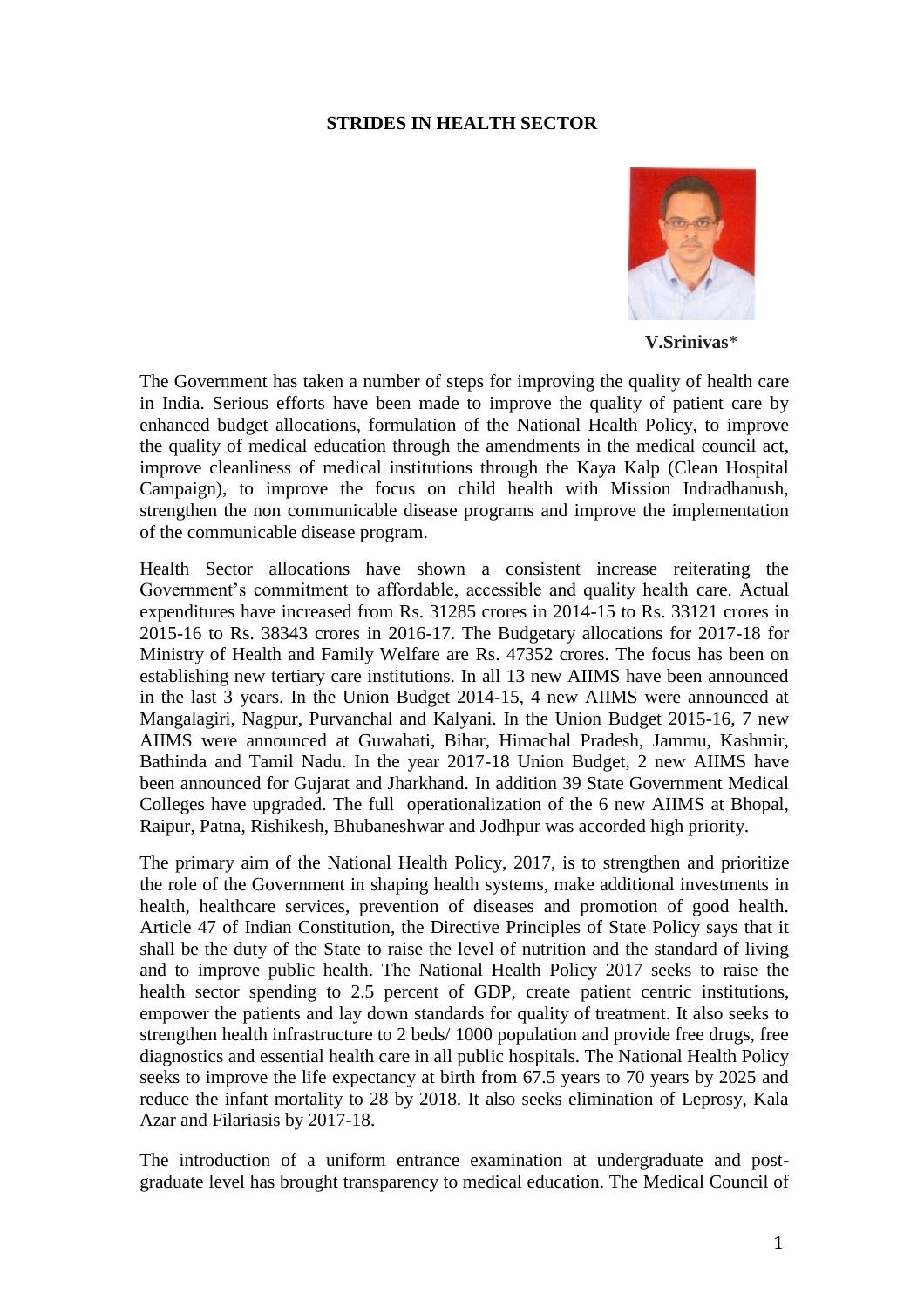## **STRIDES IN HEALTH SECTOR**



**V.Srinivas**\*

The Government has taken a number of steps for improving the quality of health care in India. Serious efforts have been made to improve the quality of patient care by enhanced budget allocations, formulation of the National Health Policy, to improve the quality of medical education through the amendments in the medical council act, improve cleanliness of medical institutions through the Kaya Kalp (Clean Hospital Campaign), to improve the focus on child health with Mission Indradhanush, strengthen the non communicable disease programs and improve the implementation of the communicable disease program.

Health Sector allocations have shown a consistent increase reiterating the Government's commitment to affordable, accessible and quality health care. Actual expenditures have increased from Rs. 31285 crores in 2014-15 to Rs. 33121 crores in 2015-16 to Rs. 38343 crores in 2016-17. The Budgetary allocations for 2017-18 for Ministry of Health and Family Welfare are Rs. 47352 crores. The focus has been on establishing new tertiary care institutions. In all 13 new AIIMS have been announced in the last 3 years. In the Union Budget 2014-15, 4 new AIIMS were announced at Mangalagiri, Nagpur, Purvanchal and Kalyani. In the Union Budget 2015-16, 7 new AIIMS were announced at Guwahati, Bihar, Himachal Pradesh, Jammu, Kashmir, Bathinda and Tamil Nadu. In the year 2017-18 Union Budget, 2 new AIIMS have been announced for Gujarat and Jharkhand. In addition 39 State Government Medical Colleges have upgraded. The full operationalization of the 6 new AIIMS at Bhopal, Raipur, Patna, Rishikesh, Bhubaneshwar and Jodhpur was accorded high priority.

The primary aim of the National Health Policy, 2017, is to strengthen and prioritize the role of the Government in shaping health systems, make additional investments in health, healthcare services, prevention of diseases and promotion of good health. Article 47 of Indian Constitution, the Directive Principles of State Policy says that it shall be the duty of the State to raise the level of nutrition and the standard of living and to improve public health. The National Health Policy 2017 seeks to raise the health sector spending to 2.5 percent of GDP, create patient centric institutions, empower the patients and lay down standards for quality of treatment. It also seeks to strengthen health infrastructure to 2 beds/ 1000 population and provide free drugs, free diagnostics and essential health care in all public hospitals. The National Health Policy seeks to improve the life expectancy at birth from 67.5 years to 70 years by 2025 and reduce the infant mortality to 28 by 2018. It also seeks elimination of Leprosy, Kala Azar and Filariasis by 2017-18.

The introduction of a uniform entrance examination at undergraduate and postgraduate level has brought transparency to medical education. The Medical Council of